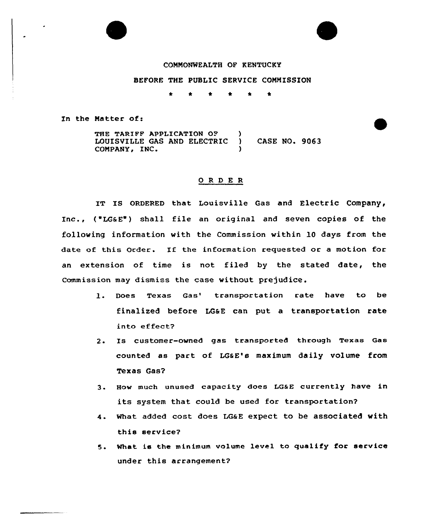## CONNONWEALTH OF KENTUCKY

## BEFORE THE PUBLIC SERVICE CONNISSION

\* \* \* \* \*

In the Natter of:

THE TARIFF APPLICATION OF )<br>LOUISVILLE GAS AND ELECTRIC ) LOUISVILLE GAS AND ELECTRIC ) CASE NO. 9063 CONPANY, INC. )

## 0 R <sup>D</sup> E <sup>R</sup>

IT IS ORDERED that Louisville Gas and Electric Company, Inc., ("LG&E") shall file an original and seven copies of the following information with the Commission within l0 days from the date of this Order. If the information requested or <sup>a</sup> motion for an extension of time is not filed by the stated date, the commission may dismiss the case without prejudice.

- 1. Does Texas Gas' transportation rate have to be finalized before LGaE can put a transportation rate into effeet?
- 2. Is customer-owned gas transported through Texas Gas counted as part of LG&E's maximum daily volume from Texas Gas?
- 3. How much unused capacity does LG&E currently have in its system that could be used for transportation?
- 4. What added cost does LGaE expect to be associated with this service?
- 5. What is the minimum volume level to qualify for service under this arrangement?